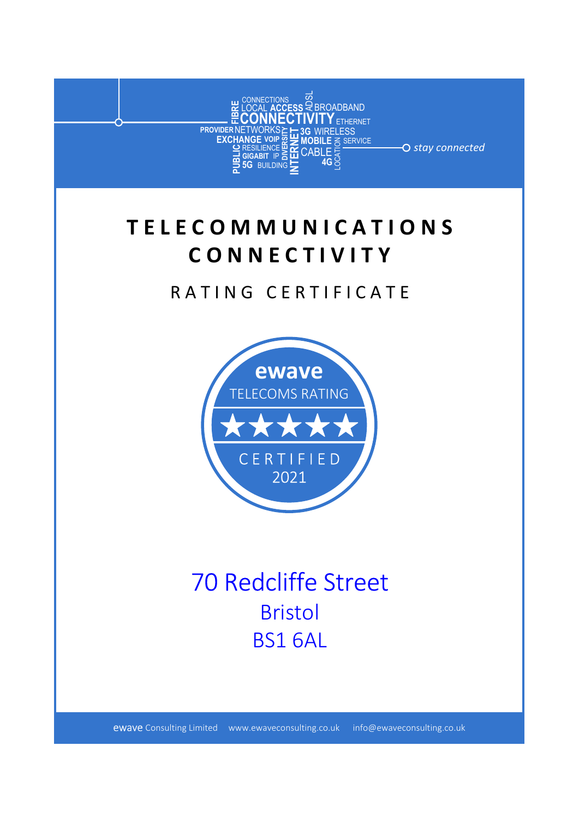